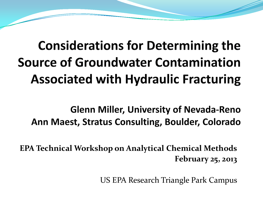#### **Considerations for Determining the Source of Groundwater Contamination Associated with Hydraulic Fracturing**

**Glenn Miller, University of Nevada-Reno** Ann Maest, Stratus Consulting, Boulder, Colorado

**EPA Technical Workshop on Analytical Chemical Methods February 25, 2013**

US EPA Research Triangle Park Campus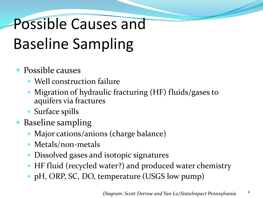# Possible Causes and Baseline Sampling

#### • Possible causes

- Well construction failure
- Migration of hydraulic fracturing (HF) fluids/gases to aquifers via fractures
- Surface spills
- Baseline sampling
	- Major cations/anions (charge balance)
	- Metals/non-metals
	- Dissolved gases and isotopic signatures
	- HF fluid (recycled water?) and produced water chemistry
	- pH, ORP, SC, DO, temperature (USGS low pump)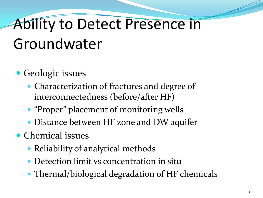## Ability to Detect Presence in Groundwater

- Geologic issues
	- Characterization of fractures and degree of interconnectedness (before/after HF)
	- "Proper" placement of monitoring wells
	- Distance between HF zone and DW aquifer
- Chemical issues
	- Reliability of analytical methods
	- Detection limit vs concentration in situ
	- Thermal/biological degradation of HF chemicals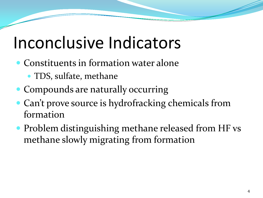#### Inconclusive Indicators

- Constituents in formation water alone
	- TDS, sulfate, methane
- Compounds are naturally occurring
- Can't prove source is hydrofracking chemicals from formation
- Problem distinguishing methane released from HF vs methane slowly migrating from formation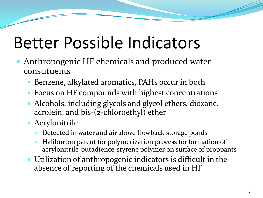## Better Possible Indicators

- Anthropogenic HF chemicals and produced water constituents
	- Benzene, alkylated aromatics, PAHs occur in both
	- Focus on HF compounds with highest concentrations
	- Alcohols, including glycols and glycol ethers, dioxane, acrolein, and bis-(2-chloroethyl) ether
	- Acrylonitrile
		- Detected in water and air above flowback storage ponds
		- Haliburton patent for polymerization process for formation of acrylonitrile-butadience-styrene polymer on surface of proppants
	- Utilization of anthropogenic indicators is difficult in the absence of reporting of the chemicals used in HF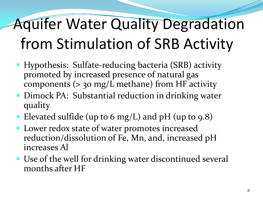# Aquifer Water Quality Degradation from Stimulation of SRB Activity

- Hypothesis: Sulfate-reducing bacteria (SRB) activity promoted by increased presence of natural gas components  $(>$  30 mg/L methane) from HF activity
- Dimock PA: Substantial reduction in drinking water quality
- Elevated sulfide (up to 6 mg/L) and pH (up to 9.8)
- Lower redox state of water promotes increased reduction/dissolution of Fe, Mn, and, increased pH increases Al
- Use of the well for drinking water discontinued several months after HF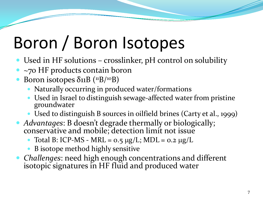# Boron / Boron Isotopes

- Used in HF solutions crosslinker, pH control on solubility
- ~70 HF products contain boron
- Boron isotopes  $\delta$ 11B (<sup>11</sup>B/<sup>10</sup>B)
	- Naturally occurring in produced water/formations
	- Used in Israel to distinguish sewage-affected water from pristine groundwater
	- Used to distinguish B sources in oilfield brines (Carty et al., 1999)
- *Advantages*: B doesn't degrade thermally or biologically; conservative and mobile; detection limit not issue
	- $\bullet$  Total B: ICP-MS MRL = 0.5 µg/L; MDL = 0.2 µg/L
	- B isotope method highly sensitive
- *Challenges*: need high enough concentrations and different isotopic signatures in HF fluid and produced water